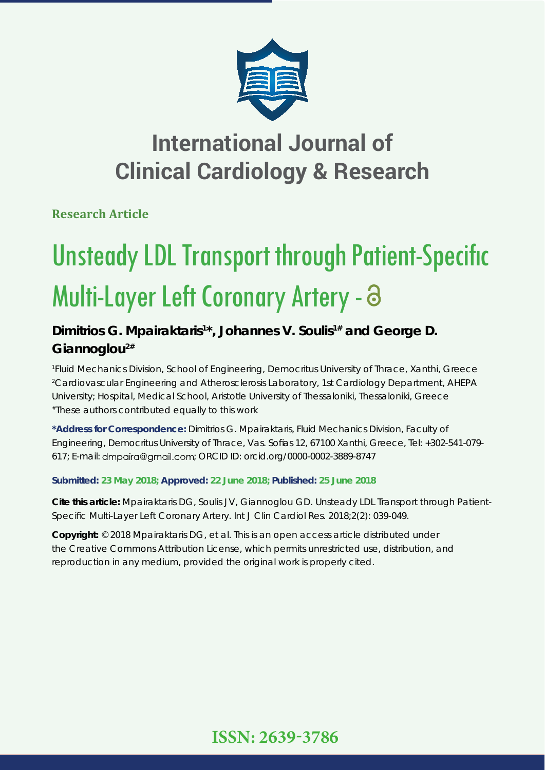

## **International Journal of Clinical Cardiology & Research**

**Research Article**

# **Unsteady LDL Transport through Patient-Specific** Multi-Layer Left Coronary Artery - a

## Dimitrios G. Mpairaktaris<sup>1\*</sup>, Johannes V. Soulis<sup>1#</sup> and George D. **Giannoglou2#**

*1 Fluid Mechanics Division, School of Engineering, Democritus University of Thrace, Xanthi, Greece 2 Cardiovascular Engineering and Atherosclerosis Laboratory, 1st Cardiology Department, AHEPA University; Hospital, Medical School, Aristotle University of Thessaloniki, Thessaloniki, Greece #These authors contributed equally to this work*

**\*Address for Correspondence:** Dimitrios G. Mpairaktaris, Fluid Mechanics Division, Faculty of Engineering, Democritus University of Thrace, Vas. Sofias 12, 67100 Xanthi, Greece, Tel: +302-541-079-617; E-mail: dmpaira@gmail.com; ORCID ID: orcid.org/0000-0002-3889-8747

## **Submitted: 23 May 2018; Approved: 22 June 2018; Published: 25 June 2018**

**Cite this article:** Mpairaktaris DG, Soulis JV, Giannoglou GD. Unsteady LDL Transport through Patient-Specific Multi-Layer Left Coronary Artery. Int J Clin Cardiol Res. 2018:2(2): 039-049.

**Copyright:** © 2018 Mpairaktaris DG, et al. This is an open access article distributed under the Creative Commons Attribution License, which permits unrestricted use, distribution, and reproduction in any medium, provided the original work is properly cited.

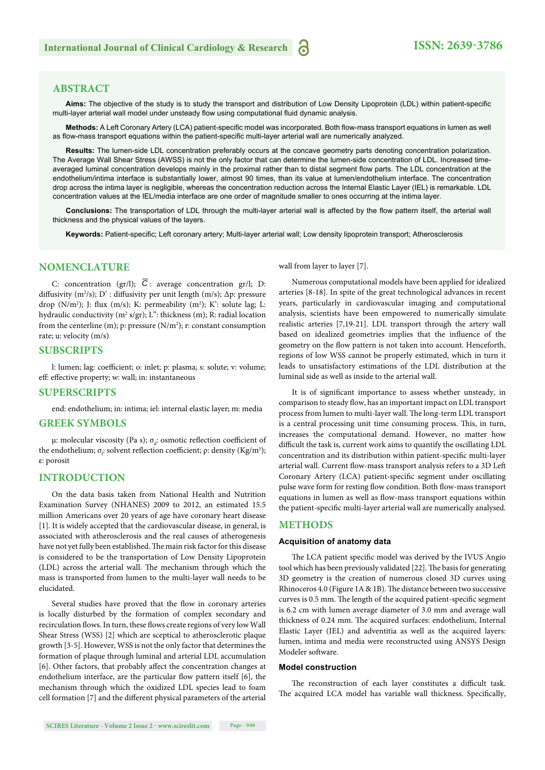#### **ABSTRACT**

Aims: The objective of the study is to study the transport and distribution of Low Density Lipoprotein (LDL) within patient-specific multi-layer arterial wall model under unsteady flow using computational fluid dynamic analysis.

Methods: A Left Coronary Artery (LCA) patient-specific model was incorporated. Both flow-mass transport equations in lumen as well as flow-mass transport equations within the patient-specific multi-layer arterial wall are numerically analyzed.

**Results:** The lumen-side LDL concentration preferably occurs at the concave geometry parts denoting concentration polarization. The Average Wall Shear Stress (AWSS) is not the only factor that can determine the lumen-side concentration of LDL. Increased timeaveraged luminal concentration develops mainly in the proximal rather than to distal segment flow parts. The LDL concentration at the endothelium/intima interface is substantially lower, almost 90 times, than its value at lumen/endothelium interface. The concentration drop across the intima layer is negligible, whereas the concentration reduction across the Internal Elastic Layer (IEL) is remarkable. LDL concentration values at the IEL/media interface are one order of magnitude smaller to ones occurring at the intima layer.

Conclusions: The transportation of LDL through the multi-layer arterial wall is affected by the flow pattern itself, the arterial wall thickness and the physical values of the layers.

Keywords: Patient-specific; Left coronary artery; Multi-layer arterial wall; Low density lipoprotein transport; Atherosclerosis

#### **NOMENCLATURE**

C: concentration (gr/l);  $\overline{C}$ : average concentration gr/l; D: diffusivity (m<sup>2</sup>/s); D': diffusivity per unit length (m/s);  $\Delta p$ : pressure drop ( $N/m^2$ ); J: flux (m/s); K: permeability (m<sup>2</sup>); K': solute lag; L: hydraulic conductivity (m<sup>2</sup> s/gr); L": thickness (m); R: radial location from the centerline  $(m)$ ; p: pressure  $(N/m^2)$ ; r: constant consumption rate; u: velocity (m/s)

#### **SUBSCRIPTS**

l: lumen; lag: coefficient; o: inlet; p: plasma; s: solute; v: volume; eff: effective property; w: wall; in: instantaneous

#### **SUPERSCRIPTS**

end: endothelium; in: intima; iel: internal elastic layer; m: media

#### **GREEK SYMBOLS**

μ: molecular viscosity (Pa s);  $\sigma_d$ : osmotic reflection coefficient of the endothelium;  $\sigma_i$ : solvent reflection coefficient;  $\rho$ : density (Kg/m<sup>3</sup>); ε: porosit

#### **INTRODUCTION**

On the data basis taken from National Health and Nutrition Examination Survey (NHANES) 2009 to 2012, an estimated 15.5 million Americans over 20 years of age have coronary heart disease [1]. It is widely accepted that the cardiovascular disease, in general, is associated with atherosclerosis and the real causes of atherogenesis have not yet fully been established. The main risk factor for this disease is considered to be the transportation of Low Density Lipoprotein  $(LDL)$  across the arterial wall. The mechanism through which the mass is transported from lumen to the multi-layer wall needs to be elucidated.

Several studies have proved that the flow in coronary arteries is locally disturbed by the formation of complex secondary and recirculation flows. In turn, these flows create regions of very low Wall Shear Stress (WSS) [2] which are sceptical to atherosclerotic plaque growth [3-5]. However, WSS is not the only factor that determines the formation of plaque through luminal and arterial LDL accumulation [6]. Other factors, that probably affect the concentration changes at endothelium interface, are the particular flow pattern itself  $[6]$ , the mechanism through which the oxidized LDL species lead to foam cell formation [7] and the different physical parameters of the arterial wall from layer to layer [7].

Numerous computational models have been applied for idealized arteries [8-18]. In spite of the great technological advances in recent years, particularly in cardiovascular imaging and computational analysis, scientists have been empowered to numerically simulate realistic arteries [7,19-21]. LDL transport through the artery wall based on idealized geometries implies that the influence of the geometry on the flow pattern is not taken into account. Henceforth, regions of low WSS cannot be properly estimated, which in turn it leads to unsatisfactory estimations of the LDL distribution at the luminal side as well as inside to the arterial wall.

It is of significant importance to assess whether unsteady, in comparison to steady flow, has an important impact on LDL transport process from lumen to multi-layer wall. The long-term LDL transport is a central processing unit time consuming process. This, in turn, increases the computational demand. However, no matter how difficult the task is, current work aims to quantify the oscillating LDL concentration and its distribution within patient-specific multi-layer arterial wall. Current flow-mass transport analysis refers to a 3D Left Coronary Artery (LCA) patient-specific segment under oscillating pulse wave form for resting flow condition. Both flow-mass transport equations in lumen as well as flow-mass transport equations within the patient-specific multi-layer arterial wall are numerically analysed.

#### **METHODS**

#### **Acquisition of anatomy data**

The LCA patient specific model was derived by the IVUS Angio tool which has been previously validated [22]. The basis for generating 3D geometry is the creation of numerous closed 3D curves using Rhinoceros 4.0 (Figure 1A & 1B). The distance between two successive curves is 0.5 mm. The length of the acquired patient-specific segment is 6.2 cm with lumen average diameter of 3.0 mm and average wall thickness of 0.24 mm. The acquired surfaces: endothelium, Internal Elastic Layer (IEL) and adventitia as well as the acquired layers: lumen, intima and media were reconstructed using ANSYS Design Modeler software.

#### **Model construction**

The reconstruction of each layer constitutes a difficult task. The acquired LCA model has variable wall thickness. Specifically,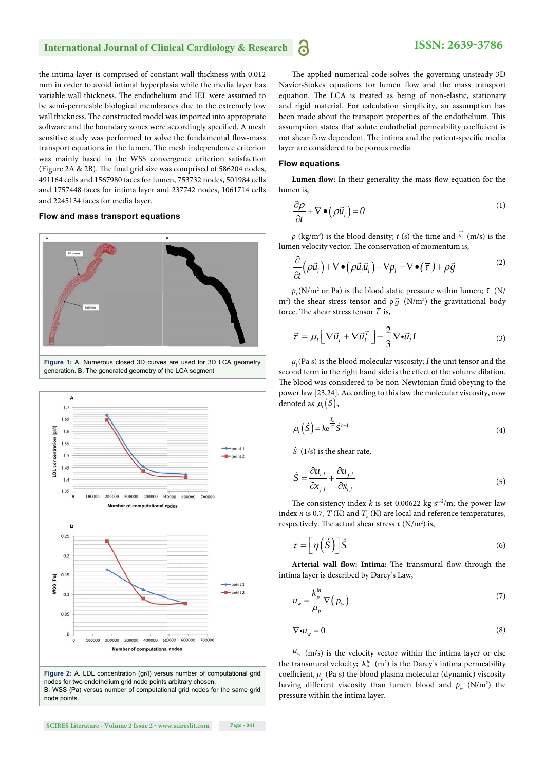#### **International Journal of Clinical Cardiology & Research** 6

the intima layer is comprised of constant wall thickness with 0.012 mm in order to avoid intimal hyperplasia while the media layer has variable wall thickness. The endothelium and IEL were assumed to be semi-permeable biological membranes due to the extremely low wall thickness. The constructed model was imported into appropriate software and the boundary zones were accordingly specified. A mesh sensitive study was performed to solve the fundamental flow-mass transport equations in the lumen. The mesh independence criterion was mainly based in the WSS convergence criterion satisfaction (Figure 2A  $\&$  2B). The final grid size was comprised of 586204 nodes, 491164 cells and 1567980 faces for lumen, 753732 nodes, 501984 cells and 1757448 faces for intima layer and 237742 nodes, 1061714 cells and 2245134 faces for media layer.

#### **Flow and mass transport equations**



**Figure 1:** A. Numerous closed 3D curves are used for 3D LCA geometry generation. B. The generated geometry of the LCA segment



**Figure 2:** A. LDL concentration (gr/l) versus number of computational grid nodes for two endothelium grid node points arbitrary chosen. B. WSS (Pa) versus number of computational grid nodes for the same grid node points.

The applied numerical code solves the governing unsteady 3D Navier-Stokes equations for lumen flow and the mass transport equation. The LCA is treated as being of non-elastic, stationary and rigid material. For calculation simplicity, an assumption has been made about the transport properties of the endothelium. This assumption states that solute endothelial permeability coefficient is not shear flow dependent. The intima and the patient-specific media layer are considered to be porous media.

#### **Flow equations**

Lumen flow: In their generality the mass flow equation for the lumen is,

$$
\frac{\partial \rho}{\partial t} + \nabla \bullet (\rho \vec{u}_t) = 0 \tag{1}
$$

*ρ* (kg/m<sup>3</sup>) is the blood density; *t* (s) the time and  $\vec{u}$ <sub>1</sub> (m/s) is the lumen velocity vector. The conservation of momentum is,

$$
\frac{\partial}{\partial t} \left( \rho \vec{u}_l \right) + \nabla \bullet \left( \rho \vec{u}_l \vec{u}_l \right) + \nabla p_l = \nabla \bullet \left( \overline{\tau} \right) + \rho \vec{g}
$$
\n(2)

 $p_l$ (N/m<sup>2</sup> or Pa) is the blood static pressure within lumen;  $\bar{t}$  (N/  $m^2$ ) the shear stress tensor and  $\rho_g^2$  (N/m<sup>3</sup>) the gravitational body force. The shear stress tensor  $\overline{\tau}$  is,

$$
\vec{\tau} = \mu_l \left[ \nabla \vec{u}_l + \nabla \vec{u}_l^T \right] - \frac{2}{3} \nabla \cdot \vec{u}_l I \tag{3}
$$

 $\mu$ <sub>l</sub>(Pa s) is the blood molecular viscosity; *I* the unit tensor and the second term in the right hand side is the effect of the volume dilation. The blood was considered to be non-Newtonian fluid obeying to the power law [23,24]. According to this law the molecular viscosity, now denoted as  $\mu_l(\dot{S})$ ,

$$
\mu_l(\dot{S}) = ke^{\frac{T_o}{T}} \dot{S}^{n-1}
$$
\n(4)

 $\dot{S}$  (1/s) is the shear rate,

$$
\dot{S} = \frac{\partial u_{i,l}}{\partial x_{j,l}} + \frac{\partial u_{j,l}}{\partial x_{i,l}}\tag{5}
$$

The consistency index *k* is set 0.00622 kg s<sup>n-2</sup>/m; the power-law index *n* is 0.7, *T* (K) and  $T_o$  (K) are local and reference temperatures, respectively. The actual shear stress  $\tau$  (N/m<sup>2</sup>) is,

$$
\tau = \left[ \eta \left( \dot{S} \right) \right] \dot{S} \tag{6}
$$

Arterial wall flow: Intima: The transmural flow through the intima layer is described by Darcy's Law,

$$
\overline{u}_{w} = \frac{k_{p}^{in}}{\mu_{p}} \nabla (p_{w})
$$
\n(7)

$$
\nabla \cdot \overline{u}_w = 0 \tag{8}
$$

 $\overline{u}_{w}$  (m/s) is the velocity vector within the intima layer or else the transmural velocity;  $k_p^m$  (m<sup>2</sup>) is the Darcy's intima permeability coefficient,  $\mu_p$  (Pa s) the blood plasma molecular (dynamic) viscosity having different viscosity than lumen blood and  $p_w$  (N/m<sup>2</sup>) the pressure within the intima layer.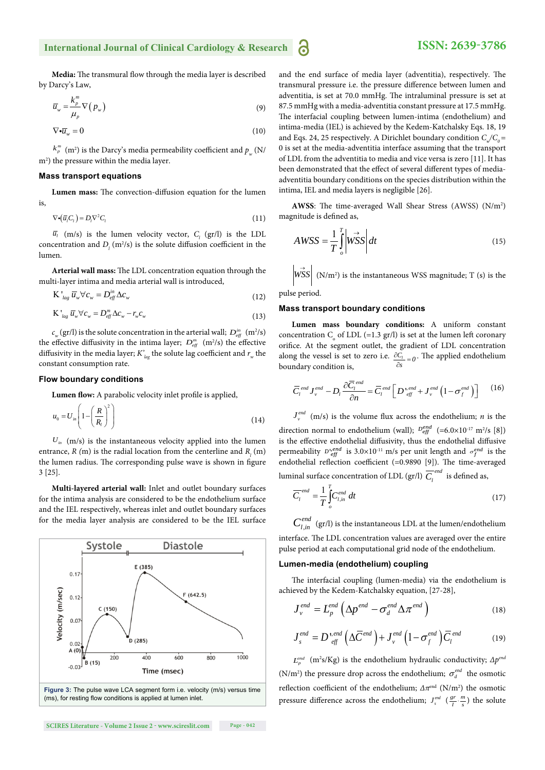#### **International Journal of Clinical Cardiology & Research** 6

## **ISSN: 2639-3786**

Media: The transmural flow through the media layer is described by Darcy's Law,

$$
\overline{u}_{w} = \frac{k_{p}^{m}}{\mu_{p}} \nabla (p_{w})
$$
\n(9)

$$
\nabla \cdot \overline{u}_w = 0 \tag{10}
$$

 $k_{_P}^{\rm \scriptscriptstyle m}$  (m<sup>2</sup>) is the Darcy's media permeability coefficient and  $p_{_W}$  (N/ m<sup>2</sup>) the pressure within the media layer.

#### **Mass transport equations**

Lumen mass: The convection-diffusion equation for the lumen is,

$$
\nabla \cdot (\overline{u}_i C_i) = D_i \nabla^2 C_i \tag{11}
$$

 $\overline{u}_l$  (m/s) is the lumen velocity vector,  $C_l$  (gr/l) is the LDL concentration and  $D_l$  (m<sup>2</sup>/s) is the solute diffusion coefficient in the lumen.

Arterial wall mass: The LDL concentration equation through the multi-layer intima and media arterial wall is introduced,

$$
K'_{lag} \overline{u}_w \forall c_w = D_{eff}^{in} \Delta c_w \tag{12}
$$

$$
K'_{lag} \overline{u}_w \forall c_w = D_{eff}^m \Delta c_w - r_w c_w \tag{13}
$$

 $c_w$  (gr/l) is the solute concentration in the arterial wall;  $D_{\text{eff}}^{in}$  (m<sup>2</sup>/s) the effective diffusivity in the intima layer;  $D_{\text{eff}}^{m}$  (m<sup>2</sup>/s) the effective diffusivity in the media layer;  $K'_{lag}$  the solute lag coefficient and  $r_w$  the constant consumption rate.

#### **Flow boundary conditions**

Lumen flow: A parabolic velocity inlet profile is applied,

$$
u_0 = U_{in} \left( 1 - \left( \frac{R}{R_l} \right)^2 \right) \tag{14}
$$

 $U_{in}$  (m/s) is the instantaneous velocity applied into the lumen entrance,  $R$  (m) is the radial location from the centerline and  $R$ <sub>l</sub> (m) the lumen radius. The corresponding pulse wave is shown in figure 3 [25].

**Multi-layered arterial wall:** Inlet and outlet boundary surfaces for the intima analysis are considered to be the endothelium surface and the IEL respectively, whereas inlet and outlet boundary surfaces for the media layer analysis are considered to be the IEL surface



and the end surface of media layer (adventitia), respectively. The transmural pressure i.e. the pressure difference between lumen and adventitia, is set at 70.0 mmHg. The intraluminal pressure is set at 87.5 mmHg with a media-adventitia constant pressure at 17.5 mmHg. The interfacial coupling between lumen-intima (endothelium) and intima-media (IEL) is achieved by the Kedem-Katchalsky Eqs. 18, 19 and Eqs. 24, 25 respectively. A Dirichlet boundary condition  $C_{\alpha}/C_{\alpha}$  = 0 is set at the media-adventitia interface assuming that the transport of LDL from the adventitia to media and vice versa is zero [11]. It has been demonstrated that the effect of several different types of mediaadventitia boundary conditions on the species distribution within the intima, IEL and media layers is negligible [26].

AWSS: The time-averaged Wall Shear Stress (AWSS) (N/m<sup>2</sup>) magnitude is defined as,

$$
AWSS = \frac{1}{T} \int_{o}^{T} \left| \vec{WSS} \right| dt
$$
 (15)

 $\left| \overrightarrow{WSS} \right|$  (N/m<sup>2</sup>) is the instantaneous WSS magnitude; T (s) is the

pulse period.

#### **Mass transport boundary conditions**

**Lumen mass boundary conditions:** A uniform constant concentration  $C_{\text{o}}$  of LDL (=1.3 gr/l) is set at the lumen left coronary orifice. At the segment outlet, the gradient of LDL concentration along the vessel is set to zero i.e.  $\frac{\partial C_i}{\partial s} = 0$ . The applied endothelium boundary condition is. boundary condition is,

$$
\overline{C}_l^{\text{end}} J_v^{\text{end}} - D_l \frac{\partial \overline{C}_l^{\text{end}}}{\partial n} = \overline{C}_l^{\text{end}} \left[ D_{\text{eff}}^{\text{t,end}} + J_v^{\text{end}} \left( 1 - \sigma_f^{\text{end}} \right) \right]
$$
(16)

 $J_{\nu}^{end}$  (m/s) is the volume flux across the endothelium; *n* is the direction normal to endothelium (wall);  $D_{\text{eff}}^{\text{end}}$  (=6.0×10<sup>-17</sup> m<sup>2</sup>/s [8]) is the effective endothelial diffusivity, thus the endothelial diffusive permeability  $D_{\text{eff}}^{n}$  is 3.0×10<sup>-11</sup> m/s per unit length and  $\sigma_f^{\text{end}}$  is the endothelial reflection coefficient (=0.9890 [9]). The time-averaged luminal surface concentration of LDL (gr/l)  $\overline{C_l}^{end}$  is defined as,

$$
\overline{C}_l^{end} = \frac{1}{T} \int_{o}^{T} C_{l,in}^{end} dt
$$
 (17)

 $C_{l,in}^{end}$  (gr/l) is the instantaneous LDL at the lumen/endothelium

interface. The LDL concentration values are averaged over the entire pulse period at each computational grid node of the endothelium.

#### **Lumen-media (endothelium) coupling**

The interfacial coupling (lumen-media) via the endothelium is achieved by the Kedem-Katchalsky equation, [27-28],

$$
J_v^{end} = L_p^{end} \left( \Delta p^{end} - \sigma_d^{end} \Delta \pi^{end} \right)
$$
 (18)

$$
J_s^{end} = D_{\text{eff}}^{\text{1,end}} \left( \Delta \overline{C}^{\text{end}} \right) + J_v^{\text{end}} \left( 1 - \sigma_f^{\text{end}} \right) \overline{C}_l^{\text{end}}
$$
(19)

 $L_p^{end}$  (m<sup>2</sup>s/Kg) is the endothelium hydraulic conductivity;  $\Delta p^{end}$ (N/m<sup>2</sup>) the pressure drop across the endothelium;  $\sigma_d^{end}$  the osmotic reflection coefficient of the endothelium;  $\Delta \pi^{\text{end}}$  (N/m<sup>2</sup>) the osmotic pressure difference across the endothelium;  $J_s^{end}$  ( $\frac{gr}{l} \cdot \frac{m}{s}$ ) the solute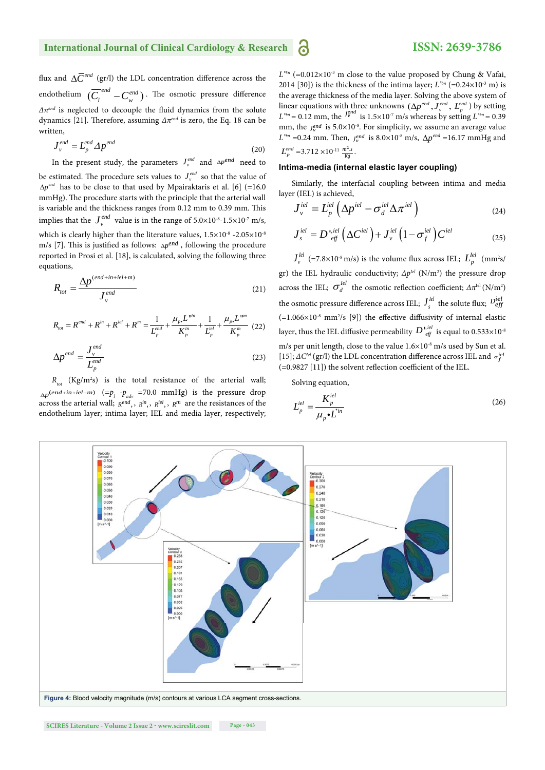flux and  $\Delta \overline{C}^{end}$  (gr/l) the LDL concentration difference across the endothelium  $(\overline{C_l}^{end} - C_w^{end})$ . The osmotic pressure difference  $\Delta \pi^{end}$  is neglected to decouple the fluid dynamics from the solute dynamics [21]. Therefore, assuming  $Δπ<sup>end</sup>$  is zero, the Eq. 18 can be written,

$$
J_{\nu}^{end} = L_p^{end} \Delta p^{end}
$$
 (20)

In the present study, the parameters  $J_v^{end}$  and  $\Delta p^{end}$  need to be estimated. The procedure sets values to  $J_{\nu}^{end}$  so that the value of  $\Delta p^{end}$  has to be close to that used by Mpairaktaris et al. [6] (=16.0] mmHg). The procedure starts with the principle that the arterial wall is variable and the thickness ranges from 0.12 mm to 0.39 mm. This implies that the  $J_v^{end}$  value is in the range of  $5.0 \times 10^{-8}$ -1.5 $\times 10^{-7}$  m/s, which is clearly higher than the literature values,  $1.5\times10^{-8}$  -2.05 $\times10^{-8}$ m/s [7]. This is justified as follows:  $_{\Delta}$ <sup>end</sup>, following the procedure reported in Prosi et al. [18], is calculated, solving the following three equations,

$$
R_{tot} = \frac{\Delta p^{(end+in+iel+m)}}{J_v^{end}}
$$
(21)

$$
R_{\text{tot}} = R^{\text{end}} + R^{\text{in}} + R^{\text{iel}} + R^{\text{m}} = \frac{1}{L_p^{\text{end}}} + \frac{\mu_p L^{\text{min}}}{K_p^{\text{in}}} + \frac{1}{L_p^{\text{el}}} + \frac{\mu_p L^{\text{nm}}}{K_p^{\text{m}}} \tag{22}
$$

$$
\Delta p^{end} = \frac{J_v^{end}}{L_p^{end}}
$$
(23)

 $R_{\text{tot}}$  (Kg/m<sup>2</sup>s) is the total resistance of the arterial wall;  $_{\Delta p}$ (*end*+in+iel+m) (= $p_l$  - $p_{adv}$  =70.0 mmHg) is the pressure drop across the arterial wall;  $R^{end}$ , ,  $R^{in}$ , ,  $R^{in}$ , ,  $R^{m}$  are the resistances of the endothelium layer; intima layer; IEL and media layer, respectively;

 $L^{n}$  (=0.012×10<sup>-3</sup> m close to the value proposed by Chung & Vafai, 2014 [30]) is the thickness of the intima layer;  $L^{m_m}$  (=0.24×10<sup>-3</sup> m) is the average thickness of the media layer. Solving the above system of linear equations with three unknowns  $(\Delta p^{end}, J_{\nu}^{end}, L_{p}^{end})$  by setting  $L^{m} = 0.12$  mm, the  $I^{end}_{\nu}$  is  $1.5 \times 10^{-7}$  m/s whereas by setting  $L^{m} = 0.39$ mm, the  $J_v^{end}$  is 5.0×10<sup>-8</sup>. For simplicity, we assume an average value *L*<sup> $m$ </sup> =0.24 mm. Then,  $J_v^{end}$  is 8.0×10<sup>-8</sup> m/s,  $\Delta p^{end}$  =16.17 mmHg and  $L_p^{end}$  =3.712 × 10<sup>-11</sup>  $\frac{m^2s}{Kq}$ .

#### **Intima-media (internal elastic layer coupling)**

Similarly, the interfacial coupling between intima and media layer (IEL) is achieved,

$$
J_{\nu}^{iel} = L_p^{iel} \left( \Delta p^{iel} - \sigma_d^{iel} \Delta \pi^{iel} \right)
$$
 (24)

$$
J_s^{iel} = D_{\text{eff}}^{\text{t,iel}} \left( \Delta C^{\text{iel}} \right) + J_{\nu}^{\text{iel}} \left( 1 - \sigma_f^{\text{iel}} \right) C^{\text{iel}} \tag{25}
$$

 $J^{lel}_v$  (=7.8×10<sup>-8</sup> m/s) is the volume flux across IEL;  $L^{lel}_p$  (mm<sup>2</sup>s/ gr) the IEL hydraulic conductivity; *ΔpIel* (N/m2 ) the pressure drop across the IEL;  $\sigma_d^{lel}$  the osmotic reflection coefficient;  $\Delta \pi^{\text{lel}}$  (N/m<sup>2</sup>) the osmotic pressure difference across IEL;  $J_s^{lel}$  the solute flux;  $D_{efj}^{iel}$  $(=1.066\times10^{-8}$  mm<sup>2</sup>/s [9]) the effective diffusivity of internal elastic layer, thus the IEL diffusive permeability  $D^{\,{}^{t,iel}}_{\phantom{t}eff}$  is equal to 0.533 $\times 10^{\,{}^s}$ m/s per unit length, close to the value  $1.6 \times 10^{-8}$  m/s used by Sun et al. [15];  $\Delta C^{le}$  (gr/l) the LDL concentration difference across IEL and  $\sigma_f^{iei}$  $(=0.9827 \, [11])$  the solvent reflection coefficient of the IEL.

Solving equation,

$$
L_p^{iel} = \frac{K_p^{iel}}{\mu_p \cdot L^{in}} \tag{26}
$$

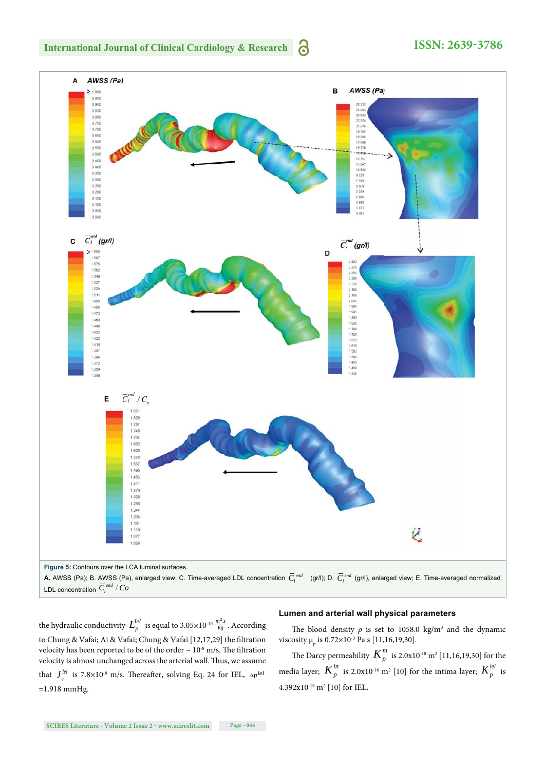

## **ISSN: 2639-3786**



the hydraulic conductivity  $L_p^{lel}$  is equal to 3.05 $\times$ 10<sup>-10</sup>  $\frac{m^2s}{Kg}$  . According to Chung & Vafai; Ai & Vafai; Chung & Vafai [12,17,29] the filtration velocity has been reported to be of the order  $\sim 10^{-8}$  m/s. The filtration velocity is almost unchanged across the arterial wall. Thus, we assume that  $J_{\nu}^{lel}$  is 7.8×10<sup>-8</sup> m/s. Thereafter, solving Eq. 24 for IEL,  $\Delta p^{iel}$  $=1.918$  mmHg.

#### **Lumen and arterial wall physical parameters**

The blood density  $\rho$  is set to 1058.0 kg/m<sup>3</sup> and the dynamic viscosity  $\mu_p$  is 0.72×10<sup>-3</sup> Pa s [11,16,19,30].

The Darcy permeability  $\boldsymbol{K}^{m}_{p}$  is 2.0x10<sup>-18</sup> m<sup>2</sup> [11,16,19,30] for the media layer;  $K_p^{in}$  is 2.0x10<sup>-16</sup> m<sup>2</sup> [10] for the intima layer;  $K_p^{iel}$  is 4.392x10-19 m2 [10] for IEL**.**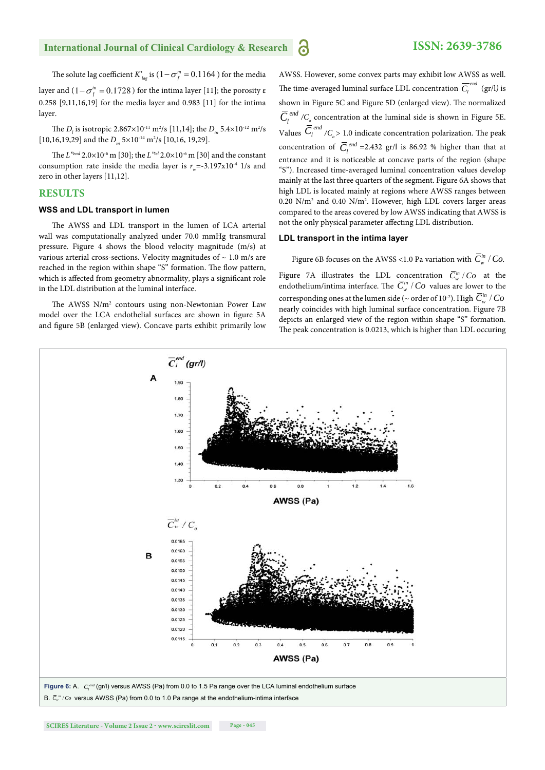The solute lag coefficient *K'<sub>lag</sub>* is  $(1 - \sigma_f^m = 0.1164)$  for the media layer and  $(1 - \sigma_i^m = 0.1728)$  for the intima layer [11]; the porosity  $\varepsilon$ 0.258 [9,11,16,19] for the media layer and 0.983 [11] for the intima layer.

The  $D_l$  is isotropic 2.867×10<sup>-11</sup> m<sup>2</sup>/s [11,14]; the  $D_{in}$  5.4×10<sup>-12</sup> m<sup>2</sup>/s [10,16,19,29] and the  $D_m$  5×10<sup>-14</sup> m<sup>2</sup>/s [10,16, 19,29].

The *L*<sup>"end</sup> 2.0×10<sup>-6</sup> m [30]; the *L*<sup>"iel</sup> 2.0×10<sup>-6</sup> m [30] and the constant consumption rate inside the media layer is  $r_{\text{m}} = -3.197 \times 10^{-4}$  1/s and zero in other layers [11,12].

#### **RESULTS**

#### **WSS and LDL transport in lumen**

The AWSS and LDL transport in the lumen of LCA arterial wall was computationally analyzed under 70.0 mmHg transmural pressure. Figure 4 shows the blood velocity magnitude (m/s) at various arterial cross-sections. Velocity magnitudes of  $\sim 1.0$  m/s are reached in the region within shape "S" formation. The flow pattern, which is affected from geometry abnormality, plays a significant role in the LDL distribution at the luminal interface.

The AWSS N/m<sup>2</sup> contours using non-Newtonian Power Law model over the LCA endothelial surfaces are shown in figure 5A and figure 5B (enlarged view). Concave parts exhibit primarily low

AWSS. However, some convex parts may exhibit low AWSS as well. The time-averaged luminal surface LDL concentration  $\overline{C_i}^{ena}$  $\overline{C_i}^{end}$  (gr/l) is shown in Figure 5C and Figure 5D (enlarged view). The normalized *d*  $\overline{C}_l^{\text{end}}$  / $C_o$  concentration at the luminal side is shown in Figure 5E. Values  $\overline{C}_l^{end}$  / $C_o$  > 1.0 indicate concentration polarization. The peak concentration of  $\overline{C}_l^{end}$  =2.432 gr/l is 86.92 % higher than that at entrance and it is noticeable at concave parts of the region (shape "S"). Increased time-averaged luminal concentration values develop mainly at the last three quarters of the segment. Figure 6Α shows that high LDL is located mainly at regions where AWSS ranges between 0.20 N/m2 and 0.40 N/m2 . However, high LDL covers larger areas compared to the areas covered by low AWSS indicating that AWSS is not the only physical parameter affecting LDL distribution.

#### **LDL transport in the intima layer**

Figure 6B focuses on the AWSS <1.0 Pa variation with  $\overline{C}_{w}^{in}/Co$ .

Figure 7A illustrates the LDL concentration  $\overline{C}^m_{w}/Co$  at the endothelium/intima interface. The  $\overline{C}_{w}^{in}/Co$  values are lower to the corresponding ones at the lumen side (~ order of 10<sup>-2</sup>). High  $\overline{C}^{\text{in}}_{w}$  /  $Co$ nearly coincides with high luminal surface concentration. Figure 7B depicts an enlarged view of the region within shape "S" formation. The peak concentration is 0.0213, which is higher than LDL occuring

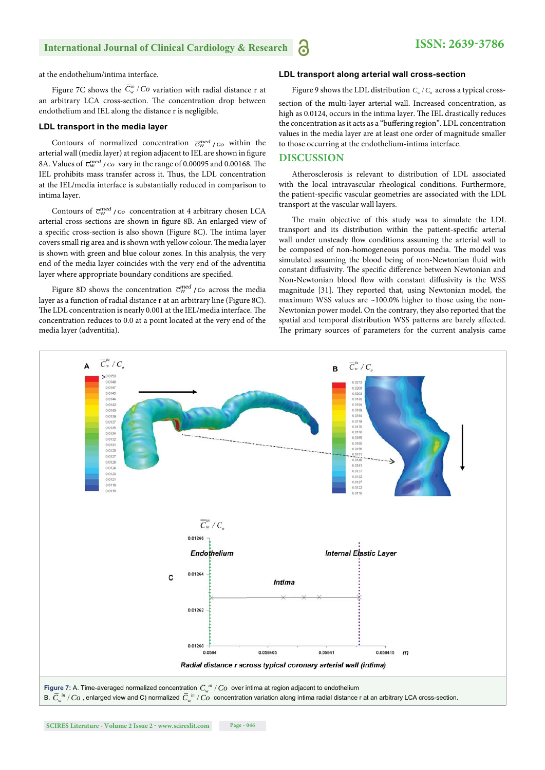#### **International Journal of Clinical Cardiology & Research** a

at the endothelium/intima interface.

Figure 7C shows the  $\overline{C}^m_{w}/C$  *co* variation with radial distance r at an arbitrary LCA cross-section. The concentration drop between endothelium and IEL along the distance r is negligible.

#### **LDL transport in the media layer**

Contours of normalized concentration  $\overline{C}_{W}^{med}/C_{O}$  within the arterial wall (media layer) at region adjacent to IEL are shown in figure 8A. Values of  $\overline{c}_{w}^{med}$  /  $co$  vary in the range of 0.00095 and 0.00168. The IEL prohibits mass transfer across it. Thus, the LDL concentration at the IEL/media interface is substantially reduced in comparison to intima layer.

Contours of  $\overline{c}_{w}^{med}$  / *Co* concentration at 4 arbitrary chosen LCA arterial cross-sections are shown in figure 8B. An enlarged view of a specific cross-section is also shown (Figure 8C). The intima layer covers small rig area and is shown with yellow colour. The media layer is shown with green and blue colour zones. In this analysis, the very end of the media layer coincides with the very end of the adventitia layer where appropriate boundary conditions are specified.

Figure 8D shows the concentration  $\overline{C}_{w}^{med}$  / *Co* across the media layer as a function of radial distance r at an arbitrary line (Figure 8C). The LDL concentration is nearly 0.001 at the IEL/media interface. The concentration reduces to 0.0 at a point located at the very end of the media layer (adventitia).

#### **LDL transport along arterial wall cross-section**

Figure 9 shows the LDL distribution  $\overline{C}_{w}/C_{a}$  across a typical cross-

section of the multi-layer arterial wall. Increased concentration, as high as 0.0124, occurs in the intima layer. The IEL drastically reduces the concentration as it acts as a "buffering region". LDL concentration values in the media layer are at least one order of magnitude smaller to those occurring at the endothelium-intima interface.

#### **DISCUSSION**

Atherosclerosis is relevant to distribution of LDL associated with the local intravascular rheological conditions. Furthermore, the patient-specific vascular geometries are associated with the LDL transport at the vascular wall layers.

The main objective of this study was to simulate the LDL transport and its distribution within the patient-specific arterial wall under unsteady flow conditions assuming the arterial wall to be composed of non-homogeneous porous media. The model was simulated assuming the blood being of non-Newtonian fluid with constant diffusivity. The specific difference between Newtonian and Non-Newtonian blood flow with constant diffusivity is the WSS magnitude [31]. They reported that, using Newtonian model, the maximum WSS values are  $\sim$ 100.0% higher to those using the non-Newtonian power model. On the contrary, they also reported that the spatial and temporal distribution WSS patterns are barely affected. The primary sources of parameters for the current analysis came

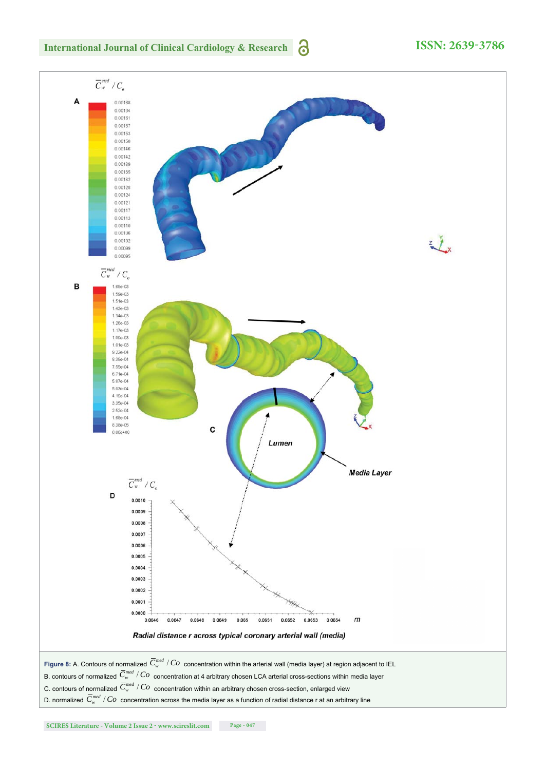

## **ISSN: 2639-3786**

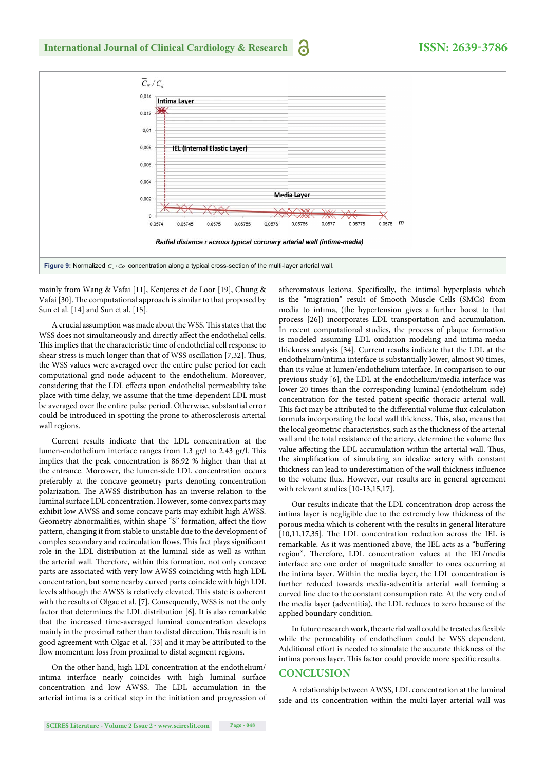

mainly from Wang & Vafai [11], Kenjeres et de Loor [19], Chung & Vafai [30]. The computational approach is similar to that proposed by Sun et al. [14] and Sun et al. [15].

A crucial assumption was made about the WSS. This states that the WSS does not simultaneously and directly affect the endothelial cells. This implies that the characteristic time of endothelial cell response to shear stress is much longer than that of WSS oscillation [7,32]. Thus, the WSS values were averaged over the entire pulse period for each computational grid node adjacent to the endothelium. Moreover, considering that the LDL effects upon endothelial permeability take place with time delay, we assume that the time-dependent LDL must be averaged over the entire pulse period. Otherwise, substantial error could be introduced in spotting the prone to atherosclerosis arterial wall regions.

Current results indicate that the LDL concentration at the lumen-endothelium interface ranges from 1.3 gr/l to 2.43 gr/l. This implies that the peak concentration is 86.92 % higher than that at the entrance. Moreover, the lumen-side LDL concentration occurs preferably at the concave geometry parts denoting concentration polarization. The AWSS distribution has an inverse relation to the luminal surface LDL concentration. However, some convex parts may exhibit low AWSS and some concave parts may exhibit high AWSS. Geometry abnormalities, within shape "S" formation, affect the flow pattern, changing it from stable to unstable due to the development of complex secondary and recirculation flows. This fact plays significant role in the LDL distribution at the luminal side as well as within the arterial wall. Therefore, within this formation, not only concave parts are associated with very low AWSS coinciding with high LDL concentration, but some nearby curved parts coincide with high LDL levels although the AWSS is relatively elevated. This state is coherent with the results of Olgac et al. [7]. Consequently, WSS is not the only factor that determines the LDL distribution [6]. It is also remarkable that the increased time-averaged luminal concentration develops mainly in the proximal rather than to distal direction. This result is in good agreement with Olgac et al. [33] and it may be attributed to the flow momentum loss from proximal to distal segment regions.

On the other hand, high LDL concentration at the endothelium/ intima interface nearly coincides with high luminal surface concentration and low AWSS. The LDL accumulation in the arterial intima is a critical step in the initiation and progression of

atheromatous lesions. Specifically, the intimal hyperplasia which is the "migration" result of Smooth Muscle Cells (SMCs) from media to intima, (the hypertension gives a further boost to that process [26]) incorporates LDL transportation and accumulation. In recent computational studies, the process of plaque formation is modeled assuming LDL oxidation modeling and intima-media thickness analysis [34]. Current results indicate that the LDL at the endothelium/intima interface is substantially lower, almost 90 times, than its value at lumen/endothelium interface. In comparison to our previous study [6], the LDL at the endothelium/media interface was lower 20 times than the corresponding luminal (endothelium side) concentration for the tested patient-specific thoracic arterial wall. This fact may be attributed to the differential volume flux calculation formula incorporating the local wall thickness. This, also, means that the local geometric characteristics, such as the thickness of the arterial wall and the total resistance of the artery, determine the volume flux value affecting the LDL accumulation within the arterial wall. Thus, the simplification of simulating an idealize artery with constant thickness can lead to underestimation of the wall thickness influence to the volume flux. However, our results are in general agreement with relevant studies [10-13,15,17].

Our results indicate that the LDL concentration drop across the intima layer is negligible due to the extremely low thickness of the porous media which is coherent with the results in general literature  $[10,11,17,35]$ . The LDL concentration reduction across the IEL is remarkable. As it was mentioned above, the IEL acts as a "buffering region". Therefore, LDL concentration values at the IEL/media interface are one order of magnitude smaller to ones occurring at the intima layer. Within the media layer, the LDL concentration is further reduced towards media-adventitia arterial wall forming a curved line due to the constant consumption rate. At the very end of the media layer (adventitia), the LDL reduces to zero because of the applied boundary condition.

In future research work, the arterial wall could be treated as flexible while the permeability of endothelium could be WSS dependent. Additional effort is needed to simulate the accurate thickness of the intima porous layer. This factor could provide more specific results.

#### **CONCLUSION**

A relationship between AWSS, LDL concentration at the luminal side and its concentration within the multi-layer arterial wall was